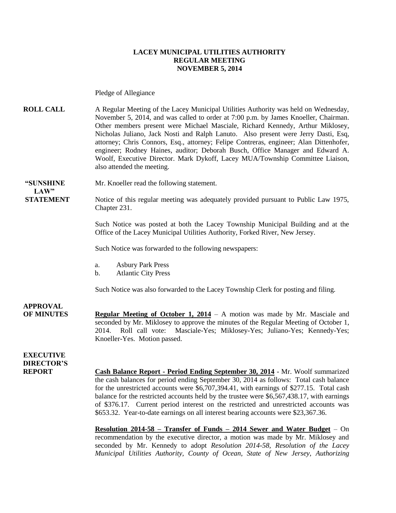#### **LACEY MUNICIPAL UTILITIES AUTHORITY REGULAR MEETING NOVEMBER 5, 2014**

Pledge of Allegiance

**ROLL CALL** A Regular Meeting of the Lacey Municipal Utilities Authority was held on Wednesday, November 5, 2014, and was called to order at 7:00 p.m. by James Knoeller, Chairman. Other members present were Michael Masciale, Richard Kennedy, Arthur Miklosey, Nicholas Juliano, Jack Nosti and Ralph Lanuto. Also present were Jerry Dasti, Esq, attorney; Chris Connors, Esq., attorney; Felipe Contreras, engineer; Alan Dittenhofer, engineer; Rodney Haines, auditor; Deborah Busch, Office Manager and Edward A. Woolf, Executive Director. Mark Dykoff, Lacey MUA/Township Committee Liaison, also attended the meeting.

 $LAW"$ 

**"SUNSHINE** Mr. Knoeller read the following statement.

**STATEMENT** Notice of this regular meeting was adequately provided pursuant to Public Law 1975, Chapter 231.

> Such Notice was posted at both the Lacey Township Municipal Building and at the Office of the Lacey Municipal Utilities Authority, Forked River, New Jersey.

Such Notice was forwarded to the following newspapers:

- a. Asbury Park Press
- b. Atlantic City Press

Such Notice was also forwarded to the Lacey Township Clerk for posting and filing.

**APPROVAL OF MINUTES Regular Meeting of October 1, 2014** – A motion was made by Mr. Masciale and seconded by Mr. Miklosey to approve the minutes of the Regular Meeting of October 1, 2014. Roll call vote: Masciale-Yes; Miklosey-Yes; Juliano-Yes; Kennedy-Yes; Knoeller-Yes. Motion passed.

**EXECUTIVE DIRECTOR'S**

**REPORT Cash Balance Report - Period Ending September 30, 2014** - Mr. Woolf summarized the cash balances for period ending September 30, 2014 as follows: Total cash balance for the unrestricted accounts were \$6,707,394.41, with earnings of \$277.15. Total cash balance for the restricted accounts held by the trustee were \$6,567,438.17, with earnings of \$376.17. Current period interest on the restricted and unrestricted accounts was \$653.32. Year-to-date earnings on all interest bearing accounts were \$23,367.36.

> **Resolution 2014-58 – Transfer of Funds – 2014 Sewer and Water Budget** – On recommendation by the executive director, a motion was made by Mr. Miklosey and seconded by Mr. Kennedy to adopt *Resolution 2014-58, Resolution of the Lacey Municipal Utilities Authority, County of Ocean, State of New Jersey, Authorizing*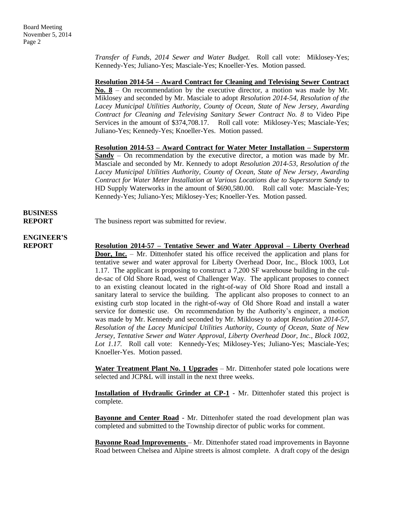*Transfer of Funds, 2014 Sewer and Water Budget.* Roll call vote: Miklosey-Yes; Kennedy-Yes; Juliano-Yes; Masciale-Yes; Knoeller-Yes. Motion passed.

**Resolution 2014-54 – Award Contract for Cleaning and Televising Sewer Contract No. 8** – On recommendation by the executive director, a motion was made by Mr. Miklosey and seconded by Mr. Masciale to adopt *Resolution 2014-54, Resolution of the Lacey Municipal Utilities Authority, County of Ocean, State of New Jersey, Awarding Contract for Cleaning and Televising Sanitary Sewer Contract No. 8* to Video Pipe Services in the amount of \$374,708.17.Roll call vote: Miklosey-Yes; Masciale-Yes; Juliano-Yes; Kennedy-Yes; Knoeller-Yes. Motion passed.

**Resolution 2014-53 – Award Contract for Water Meter Installation – Superstorm Sandy** – On recommendation by the executive director, a motion was made by Mr. Masciale and seconded by Mr. Kennedy to adopt *Resolution 2014-53, Resolution of the Lacey Municipal Utilities Authority, County of Ocean, State of New Jersey, Awarding Contract for Water Meter Installation at Various Locations due to Superstorm Sandy* to HD Supply Waterworks in the amount of \$690,580.00.Roll call vote: Masciale-Yes; Kennedy-Yes; Juliano-Yes; Miklosey-Yes; Knoeller-Yes. Motion passed.

# **BUSINESS**

**REPORT** The business report was submitted for review.

# **ENGINEER'S**

**REPORT Resolution 2014-57 – Tentative Sewer and Water Approval – Liberty Overhead Door, Inc.** – Mr. Dittenhofer stated his office received the application and plans for tentative sewer and water approval for Liberty Overhead Door, Inc., Block 1003, Lot 1.17. The applicant is proposing to construct a 7,200 SF warehouse building in the culde-sac of Old Shore Road, west of Challenger Way. The applicant proposes to connect to an existing cleanout located in the right-of-way of Old Shore Road and install a sanitary lateral to service the building. The applicant also proposes to connect to an existing curb stop located in the right-of-way of Old Shore Road and install a water service for domestic use. On recommendation by the Authority's engineer, a motion was made by Mr. Kennedy and seconded by Mr. Miklosey to adopt *Resolution 2014-57, Resolution of the Lacey Municipal Utilities Authority, County of Ocean, State of New Jersey, Tentative Sewer and Water Approval, Liberty Overhead Door, Inc., Block 1002, Lot 1.17.* Roll call vote: Kennedy-Yes; Miklosey-Yes; Juliano-Yes; Masciale-Yes; Knoeller-Yes. Motion passed.

> **Water Treatment Plant No. 1 Upgrades** – Mr. Dittenhofer stated pole locations were selected and JCP&L will install in the next three weeks.

> **Installation of Hydraulic Grinder at CP-1** - Mr. Dittenhofer stated this project is complete.

> **Bayonne and Center Road** - Mr. Dittenhofer stated the road development plan was completed and submitted to the Township director of public works for comment.

> **Bayonne Road Improvements** – Mr. Dittenhofer stated road improvements in Bayonne Road between Chelsea and Alpine streets is almost complete. A draft copy of the design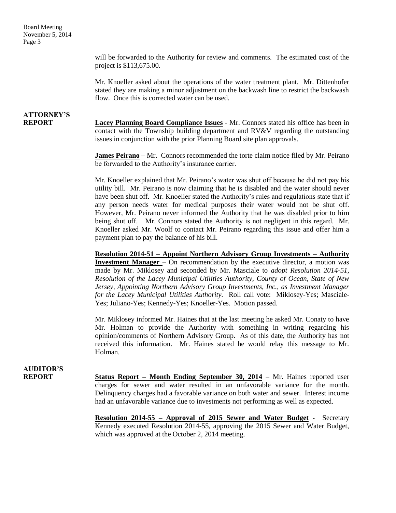Board Meeting November 5, 2014 Page 3

> will be forwarded to the Authority for review and comments. The estimated cost of the project is \$113,675.00.

> Mr. Knoeller asked about the operations of the water treatment plant. Mr. Dittenhofer stated they are making a minor adjustment on the backwash line to restrict the backwash flow. Once this is corrected water can be used.

# **ATTORNEY'S**

**REPORT Lacey Planning Board Compliance Issues** - Mr. Connors stated his office has been in contact with the Township building department and RV&V regarding the outstanding issues in conjunction with the prior Planning Board site plan approvals.

> **James Peirano** – Mr. Connors recommended the torte claim notice filed by Mr. Peirano be forwarded to the Authority's insurance carrier.

> Mr. Knoeller explained that Mr. Peirano's water was shut off because he did not pay his utility bill. Mr. Peirano is now claiming that he is disabled and the water should never have been shut off. Mr. Knoeller stated the Authority's rules and regulations state that if any person needs water for medical purposes their water would not be shut off. However, Mr. Peirano never informed the Authority that he was disabled prior to him being shut off. Mr. Connors stated the Authority is not negligent in this regard. Mr. Knoeller asked Mr. Woolf to contact Mr. Peirano regarding this issue and offer him a payment plan to pay the balance of his bill.

> **Resolution 2014-51 – Appoint Northern Advisory Group Investments – Authority Investment Manager** – On recommendation by the executive director, a motion was made by Mr. Miklosey and seconded by Mr. Masciale to *adopt Resolution 2014-51, Resolution of the Lacey Municipal Utilities Authority, County of Ocean, State of New Jersey, Appointing Northern Advisory Group Investments, Inc., as Investment Manager for the Lacey Municipal Utilities Authority.* Roll call vote: Miklosey-Yes; Masciale-Yes; Juliano-Yes; Kennedy-Yes; Knoeller-Yes. Motion passed.

> Mr. Miklosey informed Mr. Haines that at the last meeting he asked Mr. Conaty to have Mr. Holman to provide the Authority with something in writing regarding his opinion/comments of Northern Advisory Group. As of this date, the Authority has not received this information. Mr. Haines stated he would relay this message to Mr. Holman.

## **AUDITOR'S**

**REPORT Status Report – Month Ending September 30, 2014** – Mr. Haines reported user charges for sewer and water resulted in an unfavorable variance for the month. Delinquency charges had a favorable variance on both water and sewer. Interest income had an unfavorable variance due to investments not performing as well as expected.

> **Resolution 2014-55 – Approval of 2015 Sewer and Water Budget -** Secretary Kennedy executed Resolution 2014-55, approving the 2015 Sewer and Water Budget, which was approved at the October 2, 2014 meeting.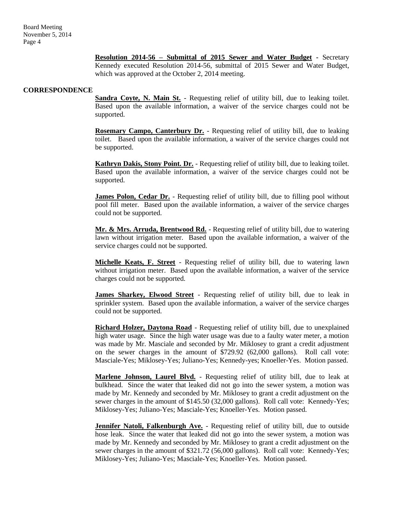**Resolution 2014-56 – Submittal of 2015 Sewer and Water Budget -** Secretary Kennedy executed Resolution 2014-56, submittal of 2015 Sewer and Water Budget, which was approved at the October 2, 2014 meeting.

#### **CORRESPONDENCE**

**Sandra Coyte, N. Main St.** - Requesting relief of utility bill, due to leaking toilet. Based upon the available information, a waiver of the service charges could not be supported.

**Rosemary Campo, Canterbury Dr.** - Requesting relief of utility bill, due to leaking toilet. Based upon the available information, a waiver of the service charges could not be supported.

**Kathryn Dakis, Stony Point. Dr.** - Requesting relief of utility bill, due to leaking toilet. Based upon the available information, a waiver of the service charges could not be supported.

**James Polon, Cedar Dr.** - Requesting relief of utility bill, due to filling pool without pool fill meter. Based upon the available information, a waiver of the service charges could not be supported.

**Mr. & Mrs. Arruda, Brentwood Rd.** - Requesting relief of utility bill, due to watering lawn without irrigation meter. Based upon the available information, a waiver of the service charges could not be supported.

**Michelle Keats, F. Street** - Requesting relief of utility bill, due to watering lawn without irrigation meter. Based upon the available information, a waiver of the service charges could not be supported.

**James Sharkey, Elwood Street** - Requesting relief of utility bill, due to leak in sprinkler system. Based upon the available information, a waiver of the service charges could not be supported.

**Richard Holzer, Daytona Road** - Requesting relief of utility bill, due to unexplained high water usage. Since the high water usage was due to a faulty water meter, a motion was made by Mr. Masciale and seconded by Mr. Miklosey to grant a credit adjustment on the sewer charges in the amount of \$729.92 (62,000 gallons). Roll call vote: Masciale-Yes; Miklosey-Yes; Juliano-Yes; Kennedy-yes; Knoeller-Yes. Motion passed.

**Marlene Johnson, Laurel Blvd.** - Requesting relief of utility bill, due to leak at bulkhead. Since the water that leaked did not go into the sewer system, a motion was made by Mr. Kennedy and seconded by Mr. Miklosey to grant a credit adjustment on the sewer charges in the amount of \$145.50 (32,000 gallons). Roll call vote: Kennedy-Yes; Miklosey-Yes; Juliano-Yes; Masciale-Yes; Knoeller-Yes. Motion passed.

**Jennifer Natoli, Falkenburgh Ave.** - Requesting relief of utility bill, due to outside hose leak. Since the water that leaked did not go into the sewer system, a motion was made by Mr. Kennedy and seconded by Mr. Miklosey to grant a credit adjustment on the sewer charges in the amount of \$321.72 (56,000 gallons). Roll call vote: Kennedy-Yes; Miklosey-Yes; Juliano-Yes; Masciale-Yes; Knoeller-Yes. Motion passed.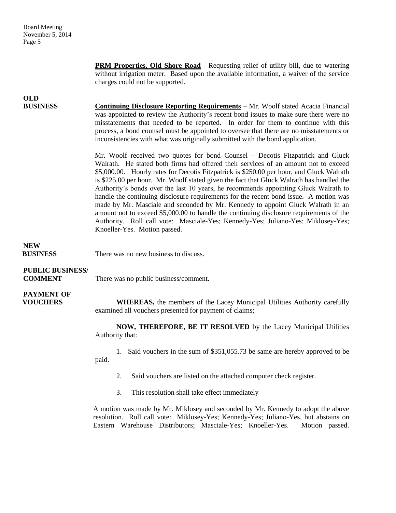**PRM Properties, Old Shore Road** - Requesting relief of utility bill, due to watering without irrigation meter. Based upon the available information, a waiver of the service charges could not be supported.

## **OLD**

**BUSINESS Continuing Disclosure Reporting Requirements** – Mr. Woolf stated Acacia Financial was appointed to review the Authority's recent bond issues to make sure there were no misstatements that needed to be reported. In order for them to continue with this process, a bond counsel must be appointed to oversee that there are no misstatements or inconsistencies with what was originally submitted with the bond application.

> Mr. Woolf received two quotes for bond Counsel – Decotis Fitzpatrick and Gluck Walrath. He stated both firms had offered their services of an amount not to exceed \$5,000.00. Hourly rates for Decotis Fitzpatrick is \$250.00 per hour, and Gluck Walrath is \$225.00 per hour. Mr. Woolf stated given the fact that Gluck Walrath has handled the Authority's bonds over the last 10 years, he recommends appointing Gluck Walrath to handle the continuing disclosure requirements for the recent bond issue. A motion was made by Mr. Masciale and seconded by Mr. Kennedy to appoint Gluck Walrath in an amount not to exceed \$5,000.00 to handle the continuing disclosure requirements of the Authority. Roll call vote: Masciale-Yes; Kennedy-Yes; Juliano-Yes; Miklosey-Yes; Knoeller-Yes. Motion passed.

### **NEW**

**BUSINESS** There was no new business to discuss.

## **PUBLIC BUSINESS/**

**COMMENT** There was no public business/comment.

# **PAYMENT OF**

**VOUCHERS** WHEREAS, the members of the Lacey Municipal Utilities Authority carefully examined all vouchers presented for payment of claims;

> **NOW, THEREFORE, BE IT RESOLVED** by the Lacey Municipal Utilities Authority that:

> 1. Said vouchers in the sum of \$351,055.73 be same are hereby approved to be paid.

- 2. Said vouchers are listed on the attached computer check register.
- 3. This resolution shall take effect immediately

A motion was made by Mr. Miklosey and seconded by Mr. Kennedy to adopt the above resolution. Roll call vote: Miklosey-Yes; Kennedy-Yes; Juliano-Yes, but abstains on Eastern Warehouse Distributors; Masciale-Yes; Knoeller-Yes. Motion passed.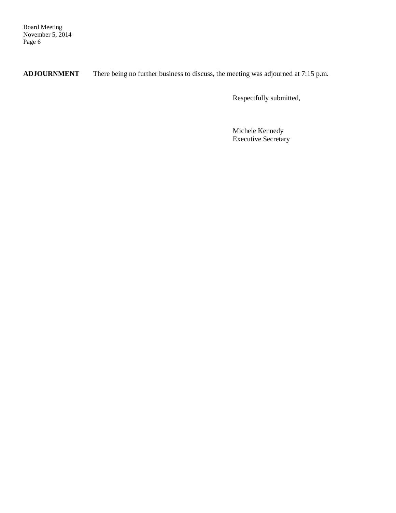Board Meeting November 5, 2014 Page 6

**ADJOURNMENT** There being no further business to discuss, the meeting was adjourned at 7:15 p.m.

Respectfully submitted,

Michele Kennedy Executive Secretary